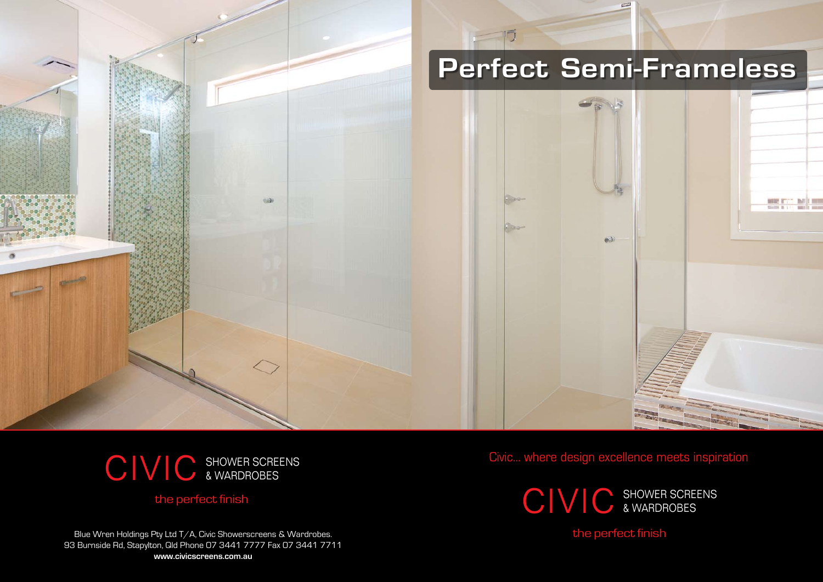

Civic... where design excellence meets inspiration

Blue Wren Holdings Pty Ltd T/A, Civic Showerscreens & Wardrobes. 93 Burnside Rd, Stapylton, Qld Phone 07 3441 7777 Fax 07 3441 7711 **www.civicscreens.com.au**

the perfect finish

## the perfect finish